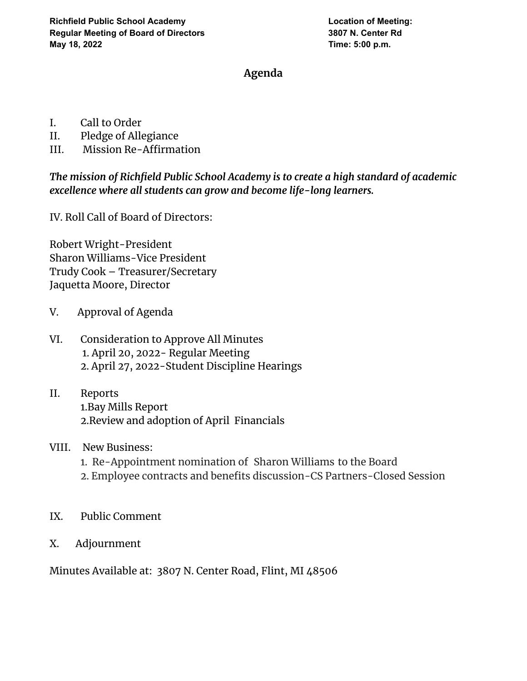## **Agenda**

- I. Call to Order
- II. Pledge of Allegiance
- III. Mission Re-Affirmation

*The mission of Richfield Public School Academy is to create a high standard of academic excellence where all students can grow and become life-long learners.*

IV. Roll Call of Board of Directors:

Robert Wright-President Sharon Williams-Vice President Trudy Cook – Treasurer/Secretary Jaquetta Moore, Director

- V. Approval of Agenda
- VI. Consideration to Approve All Minutes 1. April 20, 2022- Regular Meeting 2. April 27, 2022-Student Discipline Hearings
- II. Reports 1.Bay Mills Report 2.Review and adoption of April Financials
- VIII. New Business:
	- 1. Re-Appointment nomination of Sharon [Williams](mailto:swillia55@outlook.com) to the Board
	- 2. Employee contracts and benefits discussion-CS Partners-Closed Session
- IX. Public Comment
- X. Adjournment

Minutes Available at: 3807 N. Center Road, Flint, MI 48506